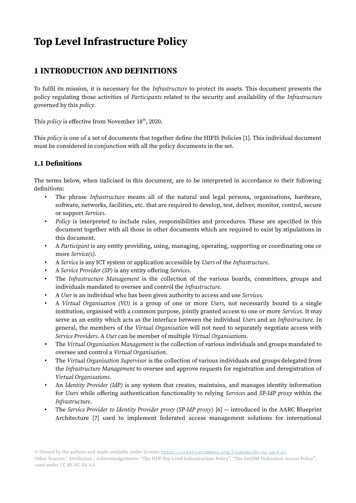# Top Level Infrastructure Policy

# 1 INTRODUCTION AND DEFINITIONS

To fulfil its mission, it is necessary for the Infrastructure to protect its assets. This document presents the policy regulating those activities of Participants related to the security and availability of the Infrastructure governed by this policy.

This *policy* is effective from November  $18<sup>th</sup>$ , 2020.

This policy is one of a set of documents that together define the HIFIS Policies [1]. This individual document must be considered in conjunction with all the policy documents in the set.

#### 1.1 Definitions

The terms below, when italicised in this document, are to be interpreted in accordance to their following definitions:

- The phrase Infrastructure means all of the natural and legal persons, organisations, hardware, software, networks, facilities, etc. that are required to develop, test, deliver, monitor, control, secure or support Services.
- Policy is interpreted to include rules, responsibilities and procedures. These are specified in this document together with all those in other documents which are required to exist by stipulations in this document.
- A Participant is any entity providing, using, managing, operating, supporting or coordinating one or more Service(s).
- A Service is any ICT system or application accessible by Users of the Infrastructure.
- A Service Provider (SP) is any entity offering Services.
- The Infrastructure Management is the collection of the various boards, committees, groups and individuals mandated to oversee and control the Infrastructure.
- A User is an individual who has been given authority to access and use Services.
- A Virtual Organisation (VO) is a group of one or more Users, not necessarily bound to a single institution, organised with a common purpose, jointly granted access to one or more *Services*. It may serve as an entity which acts as the interface between the individual Users and an Infrastructure. In general, the members of the Virtual Organisation will not need to separately negotiate access with Service Providers. A User can be member of multiple Virtual Organisations.
- The Virtual Organisation Management is the collection of various individuals and groups mandated to oversee and control a Virtual Organisation.
- The Virtual Organisation Supervisor is the collection of various individuals and groups delegated from the Infrastructure Management to oversee and approve requests for registration and deregistration of Virtual Organisations.
- An *Identity Provider (IdP)* is any system that creates, maintains, and manages identity information for Users while offering authentication functionality to relying Services and SP-IdP proxy within the Infrastructure.
- The Service Provider to Identity Provider proxy (SP-IdP proxy) [6] introduced in the AARC Blueprint Architecture [7] used to implement federated access management solutions for international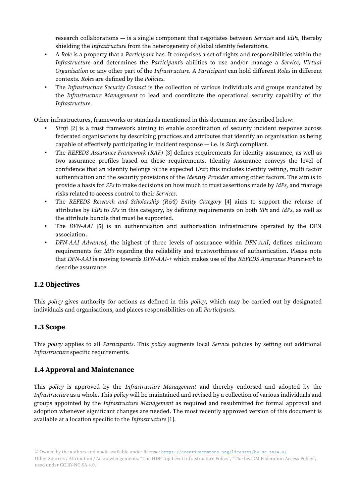research collaborations  $-$  is a single component that negotiates between *Services* and *IdPs*, thereby shielding the Infrastructure from the heterogeneity of global identity federations.

- A Role is a property that a Participant has. It comprises a set of rights and responsibilities within the Infrastructure and determines the Participant's abilities to use and/or manage a Service, Virtual Organisation or any other part of the Infrastructure. A Participant can hold different Roles in different contexts. Roles are defined by the Policies.
- The Infrastructure Security Contact is the collection of various individuals and groups mandated by the Infrastructure Management to lead and coordinate the operational security capability of the Infrastructure.

Other infrastructures, frameworks or standards mentioned in this document are described below:

- $Sirtfi$  [2] is a trust framework aiming to enable coordination of security incident response across federated organisations by describing practices and attributes that identify an organisation as being capable of effectively participating in incident response  $-$  i.e. is *Sirtfi* compliant.
- The REFEDS Assurance Framework (RAF) [3] defines requirements for identity assurance, as well as two assurance profiles based on these requirements. Identity Assurance conveys the level of confidence that an identity belongs to the expected User; this includes identity vetting, multi factor authentication and the security provisions of the Identity Provider among other factors. The aim is to provide a basis for SPs to make decisions on how much to trust assertions made by IdPs, and manage risks related to access control to their Services.
- The REFEDS Research and Scholarship (R&S) Entity Category [4] aims to support the release of attributes by IdPs to SPs in this category, by defining requirements on both SPs and IdPs, as well as the attribute bundle that must be supported.
- The DFN-AAI [5] is an authentication and authorisation infrastructure operated by the DFN association.
- DFN-AAI Advanced, the highest of three levels of assurance within DFN-AAI, defines minimum requirements for IdPs regarding the reliability and trustworthiness of authentication. Please note that DFN-AAI is moving towards DFN-AAI-+ which makes use of the REFEDS Assurance Framework to describe assurance.

### 1.2 Objectives

This *policy* gives authority for actions as defined in this *policy*, which may be carried out by designated individuals and organisations, and places responsibilities on all Participants.

#### 1.3 Scope

This policy applies to all Participants. This policy augments local Service policies by setting out additional Infrastructure specific requirements.

#### 1.4 Approval and Maintenance

This policy is approved by the Infrastructure Management and thereby endorsed and adopted by the Infrastructure as a whole. This policy will be maintained and revised by a collection of various individuals and groups appointed by the Infrastructure Management as required and resubmitted for formal approval and adoption whenever significant changes are needed. The most recently approved version of this document is available at a location specific to the Infrastructure [1].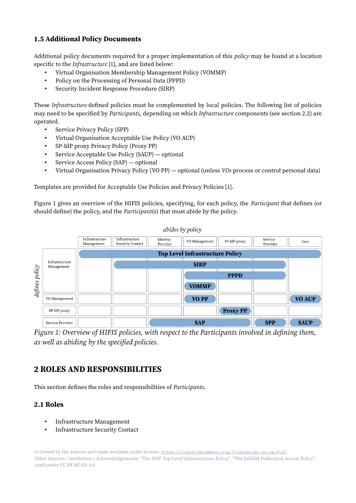# 1.5 Additional Policy Documents

Additional policy documents required for a proper implementation of this policy may be found at a location specific to the Infrastructure [1], and are listed below:

- Virtual Organisation Membership Management Policy (VOMMP)
- Policy on the Processing of Personal Data (PPPD)
- Security Incident Response Procedure (SIRP)

These Infrastructure-defined policies must be complemented by local policies. The following list of policies may need to be specified by Participants, depending on which Infrastructure components (see section 2.2) are operated.

- Service Privacy Policy (SPP)
- Virtual Organisation Acceptable Use Policy (VO AUP)
- SP-IdP proxy Privacy Policy (Proxy PP)
- Service Acceptable Use Policy (SAUP) optional
- Service Access Policy (SAP) optional
- Virtual Organisation Privacy Policy (VO PP) optional (unless VOs process or control personal data)

Templates are provided for Acceptable Use Policies and Privacy Policies [1].

[Figure 1](#page-2-0) gives an overview of the HIFIS policies, specifying, for each policy, the Participant that defines (or should define) the policy, and the Participant(s) that must abide by the policy.



<span id="page-2-0"></span>Figure 1: Overview of HIFIS policies, with respect to the Participants involved in defining them, as well as abiding by the specified policies.

# 2 ROLES AND RESPONSIBILITIES

This section defines the roles and responsibilities of Participants.

### 2.1 Roles

- Infrastructure Management
- Infrastructure Security Contact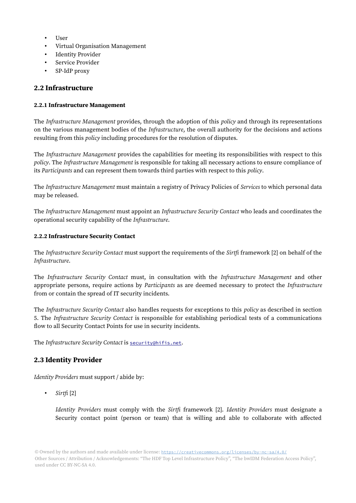- User
- Virtual Organisation Management
- Identity Provider
- Service Provider
- SP-IdP proxy

#### 2.2 Infrastructure

#### 2.2.1 Infrastructure Management

The *Infrastructure Management* provides, through the adoption of this *policy* and through its representations on the various management bodies of the Infrastructure, the overall authority for the decisions and actions resulting from this policy including procedures for the resolution of disputes.

The Infrastructure Management provides the capabilities for meeting its responsibilities with respect to this policy. The Infrastructure Management is responsible for taking all necessary actions to ensure compliance of its Participants and can represent them towards third parties with respect to this policy.

The Infrastructure Management must maintain a registry of Privacy Policies of Services to which personal data may be released.

The Infrastructure Management must appoint an Infrastructure Security Contact who leads and coordinates the operational security capability of the Infrastructure.

#### 2.2.2 Infrastructure Security Contact

The Infrastructure Security Contact must support the requirements of the Sirtfi framework [2] on behalf of the Infrastructure.

The Infrastructure Security Contact must, in consultation with the Infrastructure Management and other appropriate persons, require actions by Participants as are deemed necessary to protect the Infrastructure from or contain the spread of IT security incidents.

The Infrastructure Security Contact also handles requests for exceptions to this policy as described in section 5. The Infrastructure Security Contact is responsible for establishing periodical tests of a communications flow to all Security Contact Points for use in security incidents.

The Infrastructure Security Contact is [security@hifis.net](mailto:security@hifis.net).

### 2.3 Identity Provider

Identity Providers must support / abide by:

• Sirt $f_i$  [2]

Identity Providers must comply with the Sirtfi framework [2]. Identity Providers must designate a Security contact point (person or team) that is willing and able to collaborate with affected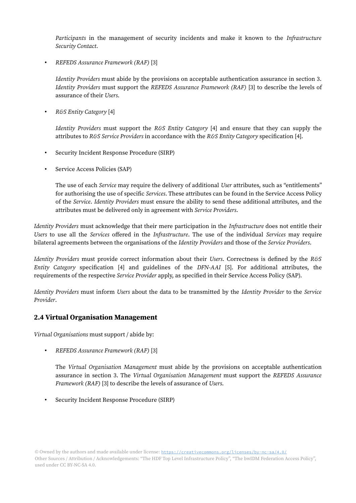Participants in the management of security incidents and make it known to the Infrastructure Security Contact.

• REFEDS Assurance Framework (RAF) [3]

Identity Providers must abide by the provisions on acceptable authentication assurance in section 3. Identity Providers must support the REFEDS Assurance Framework (RAF) [3] to describe the levels of assurance of their Users.

• R&S Entity Category [4]

*Identity Providers* must support the R&S *Entity Category* [4] and ensure that they can supply the attributes to R&S Service Providers in accordance with the R&S Entity Category specification [4].

- Security Incident Response Procedure (SIRP)
- Service Access Policies (SAP)

The use of each Service may require the delivery of additional User attributes, such as "entitlements" for authorising the use of specific Services. These attributes can be found in the Service Access Policy of the Service. Identity Providers must ensure the ability to send these additional attributes, and the attributes must be delivered only in agreement with Service Providers.

Identity Providers must acknowledge that their mere participation in the Infrastructure does not entitle their Users to use all the Services offered in the Infrastructure. The use of the individual Services may require bilateral agreements between the organisations of the *Identity Providers* and those of the *Service Providers*.

Identity Providers must provide correct information about their Users. Correctness is defined by the R&S Entity Category specification [4] and guidelines of the DFN-AAI [5]. For additional attributes, the requirements of the respective Service Provider apply, as specified in their Service Access Policy (SAP).

Identity Providers must inform Users about the data to be transmitted by the Identity Provider to the Service Provider.

#### 2.4 Virtual Organisation Management

Virtual Organisations must support / abide by:

• REFEDS Assurance Framework (RAF) [3]

The Virtual Organisation Management must abide by the provisions on acceptable authentication assurance in section 3. The Virtual Organisation Management must support the REFEDS Assurance Framework (RAF) [3] to describe the levels of assurance of Users.

• Security Incident Response Procedure (SIRP)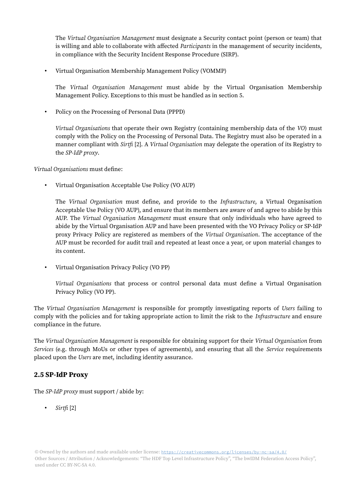The Virtual Organisation Management must designate a Security contact point (person or team) that is willing and able to collaborate with affected Participants in the management of security incidents, in compliance with the Security Incident Response Procedure (SIRP).

• Virtual Organisation Membership Management Policy (VOMMP)

The Virtual Organisation Management must abide by the Virtual Organisation Membership Management Policy. Exceptions to this must be handled as in section 5.

• Policy on the Processing of Personal Data (PPPD)

Virtual Organisations that operate their own Registry (containing membership data of the VO) must comply with the Policy on the Processing of Personal Data. The Registry must also be operated in a manner compliant with Sirtfi [2]. A Virtual Organisation may delegate the operation of its Registry to the SP-IdP proxy.

Virtual Organisations must define:

• Virtual Organisation Acceptable Use Policy (VO AUP)

The Virtual Organisation must define, and provide to the Infrastructure, a Virtual Organisation Acceptable Use Policy (VO AUP), and ensure that its members are aware of and agree to abide by this AUP. The Virtual Organisation Management must ensure that only individuals who have agreed to abide by the Virtual Organisation AUP and have been presented with the VO Privacy Policy or SP-IdP proxy Privacy Policy are registered as members of the Virtual Organisation. The acceptance of the AUP must be recorded for audit trail and repeated at least once a year, or upon material changes to its content.

• Virtual Organisation Privacy Policy (VO PP)

Virtual Organisations that process or control personal data must define a Virtual Organisation Privacy Policy (VO PP).

The Virtual Organisation Management is responsible for promptly investigating reports of Users failing to comply with the policies and for taking appropriate action to limit the risk to the Infrastructure and ensure compliance in the future.

The Virtual Organisation Management is responsible for obtaining support for their Virtual Organisation from Services (e.g. through MoUs or other types of agreements), and ensuring that all the Service requirements placed upon the Users are met, including identity assurance.

#### 2.5 SP-IdP Proxy

The *SP-IdP proxy* must support / abide by:

• Sirtfi [2]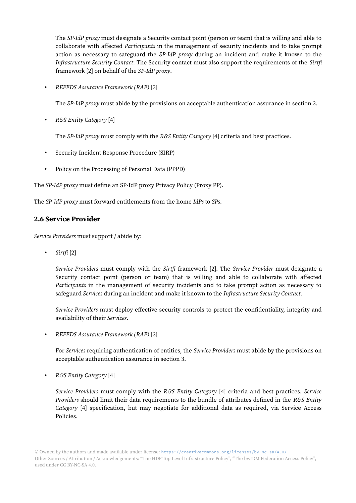The *SP-IdP proxy* must designate a Security contact point (person or team) that is willing and able to collaborate with affected Participants in the management of security incidents and to take prompt action as necessary to safeguard the SP-IdP proxy during an incident and make it known to the Infrastructure Security Contact. The Security contact must also support the requirements of the Sirtfi framework [2] on behalf of the SP-IdP proxy.

• REFEDS Assurance Framework (RAF) [3]

The *SP-IdP proxy* must abide by the provisions on acceptable authentication assurance in section 3.

• R&S Entity Category [4]

The SP-IdP proxy must comply with the R&S Entity Category [4] criteria and best practices.

- Security Incident Response Procedure (SIRP)
- Policy on the Processing of Personal Data (PPPD)

The SP-IdP proxy must define an SP-IdP proxy Privacy Policy (Proxy PP).

The SP-IdP proxy must forward entitlements from the home IdPs to SPs.

#### 2.6 Service Provider

Service Providers must support / abide by:

• Sirtfi [2]

Service Providers must comply with the Sirtfi framework [2]. The Service Provider must designate a Security contact point (person or team) that is willing and able to collaborate with affected Participants in the management of security incidents and to take prompt action as necessary to safeguard Services during an incident and make it known to the Infrastructure Security Contact.

Service Providers must deploy effective security controls to protect the confidentiality, integrity and availability of their Services.

• REFEDS Assurance Framework (RAF) [3]

For Services requiring authentication of entities, the Service Providers must abide by the provisions on acceptable authentication assurance in section 3.

• R&S Entity Category [4]

Service Providers must comply with the R&S Entity Category [4] criteria and best practices. Service Providers should limit their data requirements to the bundle of attributes defined in the R&S Entity Category [4] specification, but may negotiate for additional data as required, via Service Access Policies.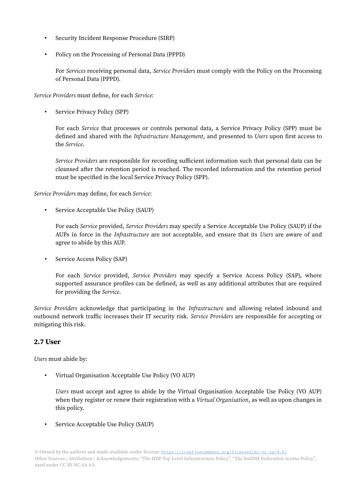- Security Incident Response Procedure (SIRP)
- Policy on the Processing of Personal Data (PPPD)

For Services receiving personal data, Service Providers must comply with the Policy on the Processing of Personal Data (PPPD).

Service Providers must define, for each Service:

• Service Privacy Policy (SPP)

For each Service that processes or controls personal data, a Service Privacy Policy (SPP) must be defined and shared with the *Infrastructure Management*, and presented to Users upon first access to the Service.

Service Providers are responsible for recording sufficient information such that personal data can be cleansed after the retention period is reached. The recorded information and the retention period must be specified in the local Service Privacy Policy (SPP).

Service Providers may define, for each Service:

• Service Acceptable Use Policy (SAUP)

For each Service provided, Service Providers may specify a Service Acceptable Use Policy (SAUP) if the AUPs in force in the *Infrastructure* are not acceptable, and ensure that its Users are aware of and agree to abide by this AUP.

• Service Access Policy (SAP)

For each Service provided, Service Providers may specify a Service Access Policy (SAP), where supported assurance profiles can be defined, as well as any additional attributes that are required for providing the Service.

Service Providers acknowledge that participating in the Infrastructure and allowing related inbound and outbound network traffic increases their IT security risk. Service Providers are responsible for accepting or mitigating this risk.

#### 2.7 User

Users must abide by:

• Virtual Organisation Acceptable Use Policy (VO AUP)

Users must accept and agree to abide by the Virtual Organisation Acceptable Use Policy (VO AUP) when they register or renew their registration with a Virtual Organisation, as well as upon changes in this policy.

• Service Acceptable Use Policy (SAUP)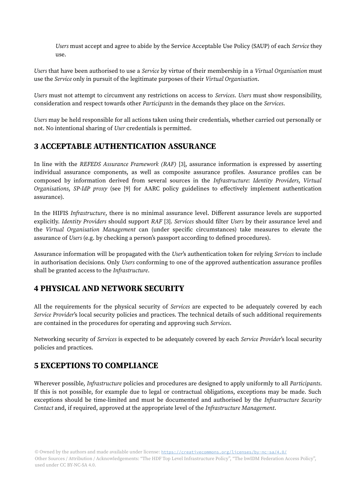Users must accept and agree to abide by the Service Acceptable Use Policy (SAUP) of each Service they use.

Users that have been authorised to use a Service by virtue of their membership in a Virtual Organisation must use the Service only in pursuit of the legitimate purposes of their Virtual Organisation.

Users must not attempt to circumvent any restrictions on access to Services. Users must show responsibility, consideration and respect towards other Participants in the demands they place on the Services.

Users may be held responsible for all actions taken using their credentials, whether carried out personally or not. No intentional sharing of User credentials is permitted.

# 3 ACCEPTABLE AUTHENTICATION ASSURANCE

In line with the REFEDS Assurance Framework (RAF) [3], assurance information is expressed by asserting individual assurance components, as well as composite assurance profiles. Assurance profiles can be composed by information derived from several sources in the Infrastructure: Identity Providers, Virtual Organisations, SP-IdP proxy (see [9] for AARC policy guidelines to effectively implement authentication assurance).

In the HIFIS Infrastructure, there is no minimal assurance level. Different assurance levels are supported explicitly. Identity Providers should support RAF [3]. Services should filter Users by their assurance level and the Virtual Organisation Management can (under specific circumstances) take measures to elevate the assurance of Users (e.g. by checking a person's passport according to defined procedures).

Assurance information will be propagated with the User's authentication token for relying Services to include in authorisation decisions. Only *Users* conforming to one of the approved authentication assurance profiles shall be granted access to the Infrastructure.

# 4 PHYSICAL AND NETWORK SECURITY

All the requirements for the physical security of *Services* are expected to be adequately covered by each Service Provider's local security policies and practices. The technical details of such additional requirements are contained in the procedures for operating and approving such Services.

Networking security of Services is expected to be adequately covered by each Service Provider's local security policies and practices.

# 5 EXCEPTIONS TO COMPLIANCE

Wherever possible, *Infrastructure* policies and procedures are designed to apply uniformly to all *Participants*. If this is not possible, for example due to legal or contractual obligations, exceptions may be made. Such exceptions should be time-limited and must be documented and authorised by the *Infrastructure Security* Contact and, if required, approved at the appropriate level of the Infrastructure Management.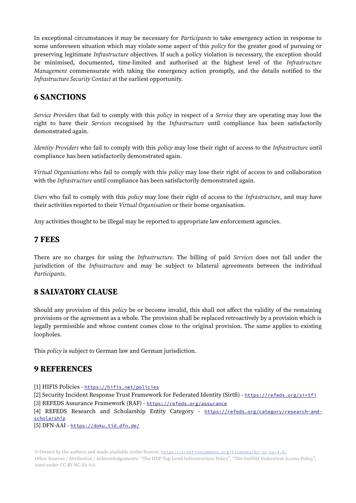In exceptional circumstances it may be necessary for Participants to take emergency action in response to some unforeseen situation which may violate some aspect of this policy for the greater good of pursuing or preserving legitimate Infrastructure objectives. If such a policy violation is necessary, the exception should be minimised, documented, time-limited and authorised at the highest level of the *Infrastructure* Management commensurate with taking the emergency action promptly, and the details notified to the Infrastructure Security Contact at the earliest opportunity.

# 6 SANCTIONS

Service Providers that fail to comply with this *policy* in respect of a *Service* they are operating may lose the right to have their Services recognised by the Infrastructure until compliance has been satisfactorily demonstrated again.

Identity Providers who fail to comply with this policy may lose their right of access to the Infrastructure until compliance has been satisfactorily demonstrated again.

Virtual Organisations who fail to comply with this policy may lose their right of access to and collaboration with the Infrastructure until compliance has been satisfactorily demonstrated again.

Users who fail to comply with this policy may lose their right of access to the Infrastructure, and may have their activities reported to their Virtual Organisation or their home organisation.

Any activities thought to be illegal may be reported to appropriate law enforcement agencies.

### 7 FEES

There are no charges for using the Infrastructure. The billing of paid Services does not fall under the jurisdiction of the Infrastructure and may be subject to bilateral agreements between the individual Participants.

# 8 SALVATORY CLAUSE

Should any provision of this policy be or become invalid, this shall not affect the validity of the remaining provisions or the agreement as a whole. The provision shall be replaced retroactively by a provision which is legally permissible and whose content comes close to the original provision. The same applies to existing loopholes.

This policy is subject to German law and German jurisdiction.

# 9 REFERENCES

[1] HIFIS Policies - <https://hifis.net/policies>

[2] Security Incident Response Trust Framework for Federated Identity (Sirtfi) - <https://refeds.org/sirtfi> [3] REFEDS Assurance Framework (RAF) - <https://refeds.org/assurance>

[4] REFEDS Research and Scholarship Entity Category - [https://refeds.org/category/research-and](https://refeds.org/category/research-and-scholarship)[scholarship](https://refeds.org/category/research-and-scholarship)

[5] DFN-AAI - <https://doku.tid.dfn.de/>